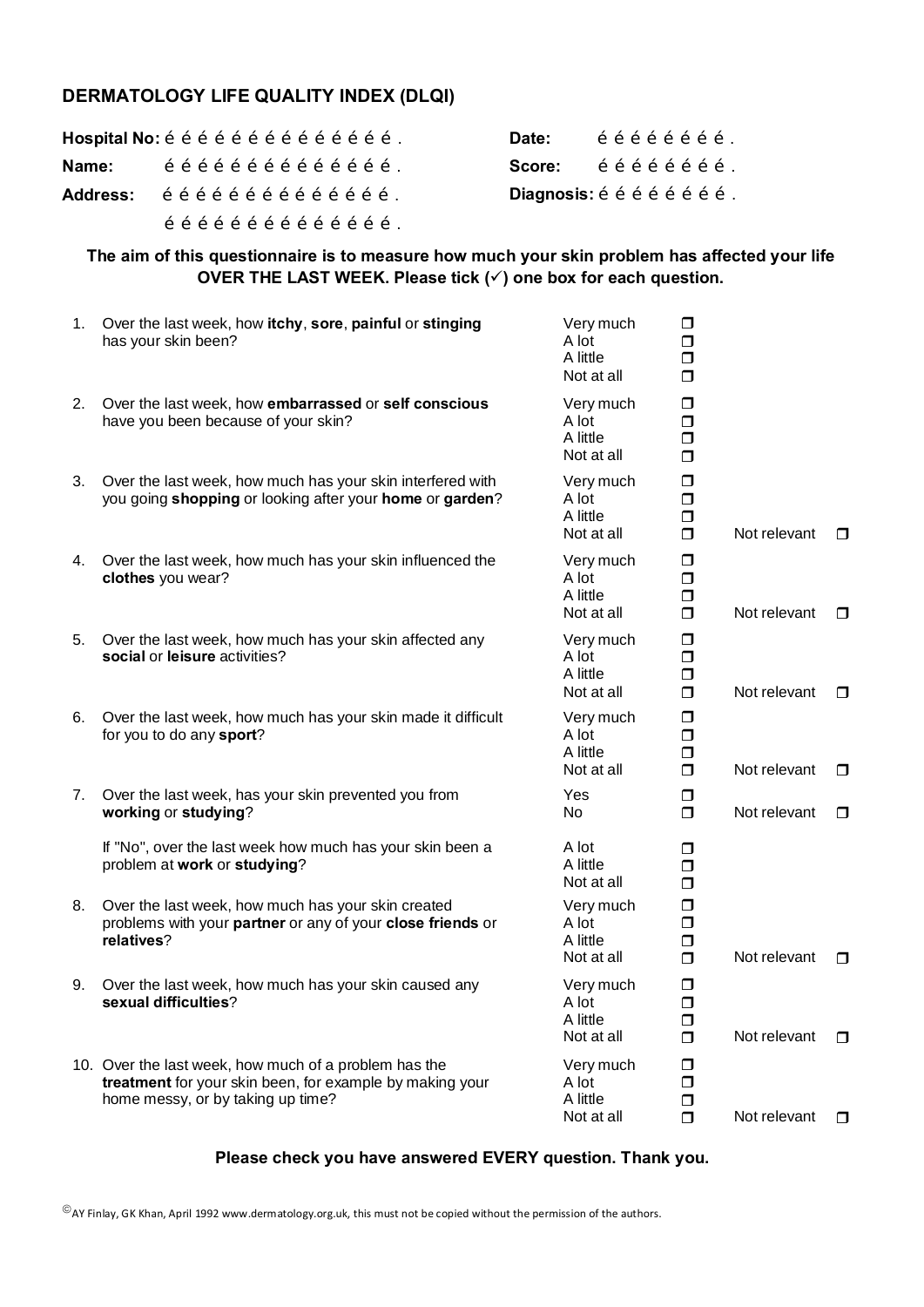# **DERMATOLOGY LIFE QUALITY INDEX (DLQI)**

| Hospital No: õ õ õ õ õ õ õ õ õ õ õ õ õ õ õ õ õ . |                                                                                                                                       |  |  |  |  |  |  |  | Date:                          |  |  | õõõõõõõõ.         |  |  |
|--------------------------------------------------|---------------------------------------------------------------------------------------------------------------------------------------|--|--|--|--|--|--|--|--------------------------------|--|--|-------------------|--|--|
| Name:                                            | $\tilde{o}$ $\tilde{o}$ $\tilde{o}$ $\tilde{o}$ $\tilde{o}$ $\tilde{o}$ $\tilde{o}$ $\tilde{o}$ $\tilde{o}$ $\tilde{o}$ $\tilde{o}$ . |  |  |  |  |  |  |  | <b>Score:</b>                  |  |  | õ õ õ õ õ õ õ õ . |  |  |
| Address: őőőőőőőőőőőőőő.                         |                                                                                                                                       |  |  |  |  |  |  |  | Diagnosis: õ õ õ õ õ õ õ õ õ . |  |  |                   |  |  |
|                                                  | $\tilde{o}$ õ õ õ õ õ õ õ õ õ õ õ õ õ $\tilde{o}$ .                                                                                   |  |  |  |  |  |  |  |                                |  |  |                   |  |  |

## **The aim of this questionnaire is to measure how much your skin problem has affected your life OVER THE LAST WEEK. Please tick (√) one box for each question.**

| 1. | Over the last week, how itchy, sore, painful or stinging<br>has your skin been?                                                                        | Very much<br>A lot<br>A little<br>Not at all | $\Box$<br>$\Box$<br>$\Box$<br>$\Box$ |              |        |
|----|--------------------------------------------------------------------------------------------------------------------------------------------------------|----------------------------------------------|--------------------------------------|--------------|--------|
| 2. | Over the last week, how embarrassed or self conscious<br>have you been because of your skin?                                                           | Very much<br>A lot<br>A little<br>Not at all | σ<br>$\Box$<br>$\Box$<br>$\Box$      |              |        |
| 3. | Over the last week, how much has your skin interfered with<br>you going shopping or looking after your home or garden?                                 | Very much<br>A lot<br>A little<br>Not at all | $\Box$<br>$\Box$<br>$\Box$<br>$\Box$ | Not relevant | $\Box$ |
| 4. | Over the last week, how much has your skin influenced the<br>clothes you wear?                                                                         | Very much<br>A lot<br>A little<br>Not at all | $\Box$<br>$\Box$<br>$\Box$<br>$\Box$ | Not relevant | $\Box$ |
| 5. | Over the last week, how much has your skin affected any<br>social or leisure activities?                                                               | Very much<br>A lot<br>A little<br>Not at all | $\Box$<br>$\Box$<br>$\Box$<br>$\Box$ | Not relevant | $\Box$ |
| 6. | Over the last week, how much has your skin made it difficult<br>for you to do any sport?                                                               | Very much<br>A lot<br>A little<br>Not at all | $\Box$<br>$\Box$<br>$\Box$<br>$\Box$ | Not relevant | □      |
| 7. | Over the last week, has your skin prevented you from<br>working or studying?                                                                           | Yes<br>No.                                   | $\Box$<br>$\Box$                     | Not relevant | $\Box$ |
|    | If "No", over the last week how much has your skin been a<br>problem at work or studying?                                                              | A lot<br>A little<br>Not at all              | ◘<br>$\Box$<br>$\Box$                |              |        |
| 8. | Over the last week, how much has your skin created<br>problems with your partner or any of your close friends or<br>relatives?                         | Very much<br>A lot<br>A little<br>Not at all | $\Box$<br>$\Box$<br>$\Box$<br>$\Box$ | Not relevant | □      |
| 9. | Over the last week, how much has your skin caused any<br>sexual difficulties?                                                                          | Very much<br>A lot<br>A little<br>Not at all | $\Box$<br>$\Box$<br>$\Box$<br>$\Box$ | Not relevant | □      |
|    | 10. Over the last week, how much of a problem has the<br>treatment for your skin been, for example by making your<br>home messy, or by taking up time? | Very much<br>A lot<br>A little<br>Not at all | ◘<br>$\Box$<br>$\Box$<br>$\Box$      | Not relevant | $\Box$ |

# **Please check you have answered EVERY question. Thank you.**

 $^{\copyright}$  AY Finlay, GK Khan, April 1992 www.dermatology.org.uk, this must not be copied without the permission of the authors.